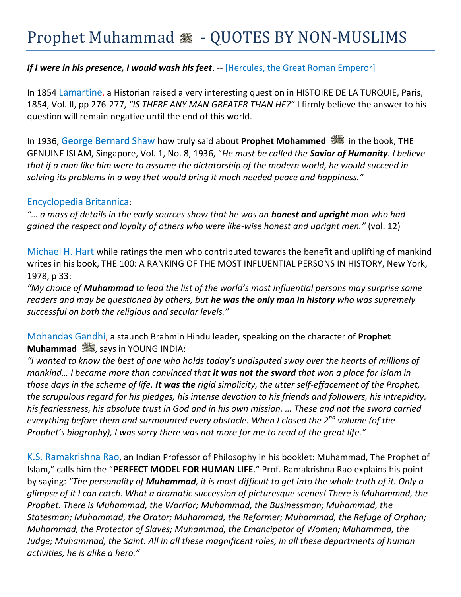## If I were in his presence, I would wash his feet. -- [Hercules, the Great Roman Emperor]

In 1854 Lamartine, a Historian raised a very interesting question in HISTOIRE DE LA TURQUIE, Paris, 1854, Vol. II, pp 276-277, *"IS THERE ANY MAN GREATER THAN HE?"* I firmly believe the answer to his question will remain negative until the end of this world.

In 1936, George Bernard Shaw how truly said about **Prophet Mohammed** in the book, THE GENUINE ISLAM, Singapore, Vol. 1, No. 8, 1936, "*He must be called the Savior of Humanity. I believe that if a man like him were to assume the dictatorship of the modern world, he would succeed in solving its problems in a way that would bring it much needed peace and happiness."*

## Encyclopedia Britannica:

*"… a mass of details in the early sources show that he was an honest and upright man who had gained the respect and loyalty of others who were like-wise honest and upright men."* (vol. 12)

Michael H. Hart while ratings the men who contributed towards the benefit and uplifting of mankind writes in his book, THE 100: A RANKING OF THE MOST INFLUENTIAL PERSONS IN HISTORY, New York, 1978, p 33:

*"My choice of Muhammad to lead the list of the world's most influential persons may surprise some readers and may be questioned by others, but he was the only man in history who was supremely successful on both the religious and secular levels."* 

Mohandas Gandhi, a staunch Brahmin Hindu leader, speaking on the character of **Prophet Muhammad** & says in YOUNG INDIA:

*"I wanted to know the best of one who holds today's undisputed sway over the hearts of millions of mankind… I became more than convinced that it was not the sword that won a place for Islam in those days in the scheme of life. It was the rigid simplicity, the utter self-effacement of the Prophet, the scrupulous regard for his pledges, his intense devotion to his friends and followers, his intrepidity, his fearlessness, his absolute trust in God and in his own mission. … These and not the sword carried everything before them and surmounted every obstacle. When I closed the 2nd volume (of the Prophet's biography), I was sorry there was not more for me to read of the great life."*

K.S. Ramakrishna Rao, an Indian Professor of Philosophy in his booklet: Muhammad, The Prophet of Islam," calls him the "**PERFECT MODEL FOR HUMAN LIFE**." Prof. Ramakrishna Rao explains his point by saying: *"The personality of Muhammad, it is most difficult to get into the whole truth of it. Only a glimpse of it I can catch. What a dramatic succession of picturesque scenes! There is Muhammad, the Prophet. There is Muhammad, the Warrior; Muhammad, the Businessman; Muhammad, the Statesman; Muhammad, the Orator; Muhammad, the Reformer; Muhammad, the Refuge of Orphan; Muhammad, the Protector of Slaves; Muhammad, the Emancipator of Women; Muhammad, the Judge; Muhammad, the Saint. All in all these magnificent roles, in all these departments of human activities, he is alike a hero."*